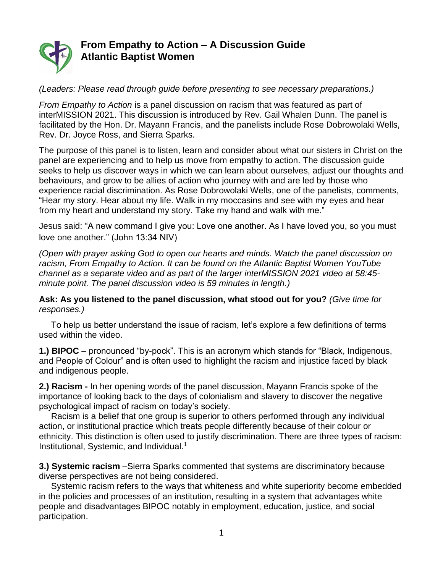

# **From Empathy to Action – A Discussion Guide Atlantic Baptist Women**

### *(Leaders: Please read through guide before presenting to see necessary preparations.)*

*From Empathy to Action* is a panel discussion on racism that was featured as part of interMISSION 2021. This discussion is introduced by Rev. Gail Whalen Dunn. The panel is facilitated by the Hon. Dr. Mayann Francis, and the panelists include Rose Dobrowolaki Wells, Rev. Dr. Joyce Ross, and Sierra Sparks.

The purpose of this panel is to listen, learn and consider about what our sisters in Christ on the panel are experiencing and to help us move from empathy to action. The discussion guide seeks to help us discover ways in which we can learn about ourselves, adjust our thoughts and behaviours, and grow to be allies of action who journey with and are led by those who experience racial discrimination. As Rose Dobrowolaki Wells, one of the panelists, comments, "Hear my story. Hear about my life. Walk in my moccasins and see with my eyes and hear from my heart and understand my story. Take my hand and walk with me."

Jesus said: "A new command I give you: Love one another. As I have loved you, so you must love one another." (John 13:34 NIV)

*(Open with prayer asking God to open our hearts and minds. Watch the panel discussion on racism, From Empathy to Action. It can be found on the Atlantic Baptist Women YouTube channel as a separate video and as part of the larger interMISSION 2021 video at 58:45 minute point. The panel discussion video is 59 minutes in length.)*

**Ask: As you listened to the panel discussion, what stood out for you?** *(Give time for responses.)*

 To help us better understand the issue of racism, let's explore a few definitions of terms used within the video.

**1.) BIPOC** – pronounced "by-pock". This is an acronym which stands for "Black, Indigenous, and People of Colour" and is often used to highlight the racism and injustice faced by black and indigenous people.

**2.) Racism -** In her opening words of the panel discussion, Mayann Francis spoke of the importance of looking back to the days of colonialism and slavery to discover the negative psychological impact of racism on today's society.

 Racism is a belief that one group is superior to others performed through any individual action, or institutional practice which treats people differently because of their colour or ethnicity. This distinction is often used to justify discrimination. There are three types of racism: Institutional, Systemic, and Individual.<sup>1</sup>

**3.) Systemic racism** –Sierra Sparks commented that systems are discriminatory because diverse perspectives are not being considered.

 Systemic racism refers to the ways that whiteness and white superiority become embedded in the policies and processes of an institution, resulting in a system that advantages white people and disadvantages BIPOC notably in employment, education, justice, and social participation.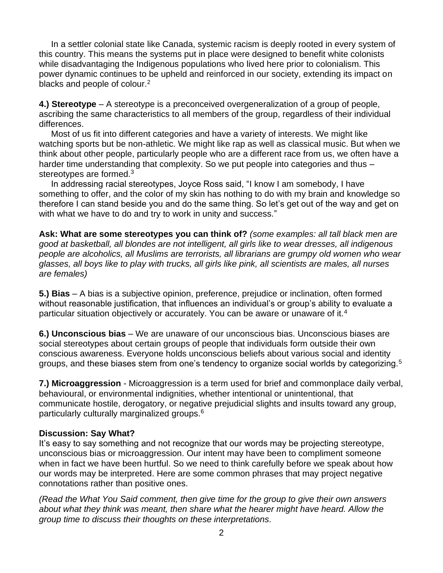In a settler colonial state like Canada, systemic racism is deeply rooted in every system of this country. This means the systems put in place were designed to benefit white colonists while disadvantaging the Indigenous populations who lived here prior to colonialism. This power dynamic continues to be upheld and reinforced in our society, extending its impact on blacks and people of colour.<sup>2</sup>

**4.) Stereotype** – A stereotype is a preconceived overgeneralization of a group of people, ascribing the same characteristics to all members of the group, regardless of their individual differences.

 Most of us fit into different categories and have a variety of interests. We might like watching sports but be non-athletic. We might like rap as well as classical music. But when we think about other people, particularly people who are a different race from us, we often have a harder time understanding that complexity. So we put people into categories and thus – stereotypes are formed.<sup>3</sup>

 In addressing racial stereotypes, Joyce Ross said, "I know I am somebody, I have something to offer, and the color of my skin has nothing to do with my brain and knowledge so therefore I can stand beside you and do the same thing. So let's get out of the way and get on with what we have to do and try to work in unity and success."

**Ask: What are some stereotypes you can think of?** *(some examples: all tall black men are good at basketball, all blondes are not intelligent, all girls like to wear dresses, all indigenous people are alcoholics, all Muslims are terrorists, all librarians are grumpy old women who wear glasses, all boys like to play with trucks, all girls like pink, all scientists are males, all nurses are females)*

**5.) Bias** – A bias is a subjective opinion, preference, prejudice or inclination, often formed without reasonable justification, that influences an individual's or group's ability to evaluate a particular situation objectively or accurately. You can be aware or unaware of it.<sup>4</sup>

**6.) Unconscious bias** – We are unaware of our unconscious bias. Unconscious biases are social stereotypes about certain groups of people that individuals form outside their own conscious awareness. Everyone holds unconscious beliefs about various social and identity groups, and these biases stem from one's tendency to organize social worlds by categorizing.<sup>5</sup>

**7.) Microaggression** - Microaggression is a term used for brief and commonplace daily verbal, behavioural, or environmental indignities, whether intentional or unintentional, that communicate hostile, derogatory, or negative prejudicial slights and insults toward any group, particularly culturally marginalized groups.<sup>6</sup>

#### **Discussion: Say What?**

It's easy to say something and not recognize that our words may be projecting stereotype, unconscious bias or microaggression. Our intent may have been to compliment someone when in fact we have been hurtful. So we need to think carefully before we speak about how our words may be interpreted. Here are some common phrases that may project negative connotations rather than positive ones.

*(Read the What You Said comment, then give time for the group to give their own answers about what they think was meant, then share what the hearer might have heard. Allow the group time to discuss their thoughts on these interpretations.*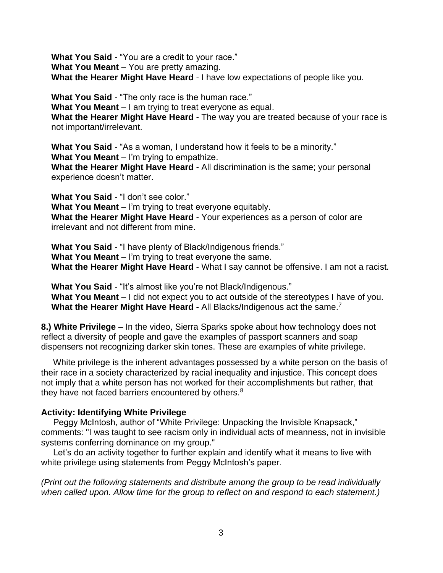**What You Said** - "You are a credit to your race." **What You Meant** – You are pretty amazing. **What the Hearer Might Have Heard** - I have low expectations of people like you.

**What You Said** - "The only race is the human race." **What You Meant** – I am trying to treat everyone as equal. **What the Hearer Might Have Heard** - The way you are treated because of your race is not important/irrelevant.

**What You Said** - "As a woman, I understand how it feels to be a minority." **What You Meant** – I'm trying to empathize. **What the Hearer Might Have Heard** - All discrimination is the same; your personal experience doesn't matter.

**What You Said** - "I don't see color." **What You Meant** – I'm trying to treat everyone equitably. **What the Hearer Might Have Heard** - Your experiences as a person of color are irrelevant and not different from mine.

**What You Said** - "I have plenty of Black/Indigenous friends." **What You Meant** – I'm trying to treat everyone the same. **What the Hearer Might Have Heard** - What I say cannot be offensive. I am not a racist.

**What You Said** - "It's almost like you're not Black/Indigenous." **What You Meant** – I did not expect you to act outside of the stereotypes I have of you. **What the Hearer Might Have Heard -** All Blacks/Indigenous act the same.<sup>7</sup>

**8.) White Privilege** – In the video, Sierra Sparks spoke about how technology does not reflect a diversity of people and gave the examples of passport scanners and soap dispensers not recognizing darker skin tones. These are examples of white privilege.

 White privilege is the inherent advantages possessed by a white person on the basis of their race in a society characterized by racial inequality and injustice. This concept does not imply that a white person has not worked for their accomplishments but rather, that they have not faced barriers encountered by others.<sup>8</sup>

#### **Activity: Identifying White Privilege**

 Peggy McIntosh, author of "White Privilege: Unpacking the Invisible Knapsack," comments: "I was taught to see racism only in individual acts of meanness, not in invisible systems conferring dominance on my group."

 Let's do an activity together to further explain and identify what it means to live with white privilege using statements from Peggy McIntosh's paper.

*(Print out the following statements and distribute among the group to be read individually when called upon. Allow time for the group to reflect on and respond to each statement.)*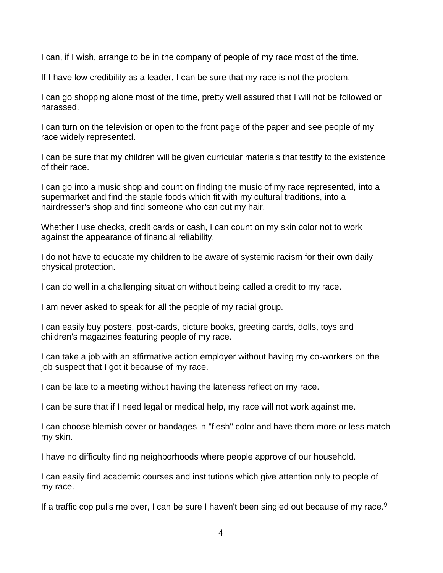I can, if I wish, arrange to be in the company of people of my race most of the time.

If I have low credibility as a leader, I can be sure that my race is not the problem.

I can go shopping alone most of the time, pretty well assured that I will not be followed or harassed.

I can turn on the television or open to the front page of the paper and see people of my race widely represented.

I can be sure that my children will be given curricular materials that testify to the existence of their race.

I can go into a music shop and count on finding the music of my race represented, into a supermarket and find the staple foods which fit with my cultural traditions, into a hairdresser's shop and find someone who can cut my hair.

Whether I use checks, credit cards or cash, I can count on my skin color not to work against the appearance of financial reliability.

I do not have to educate my children to be aware of systemic racism for their own daily physical protection.

I can do well in a challenging situation without being called a credit to my race.

I am never asked to speak for all the people of my racial group.

I can easily buy posters, post-cards, picture books, greeting cards, dolls, toys and children's magazines featuring people of my race.

I can take a job with an affirmative action employer without having my co-workers on the job suspect that I got it because of my race.

I can be late to a meeting without having the lateness reflect on my race.

I can be sure that if I need legal or medical help, my race will not work against me.

I can choose blemish cover or bandages in "flesh" color and have them more or less match my skin.

I have no difficulty finding neighborhoods where people approve of our household.

I can easily find academic courses and institutions which give attention only to people of my race.

If a traffic cop pulls me over, I can be sure I haven't been singled out because of my race.<sup>9</sup>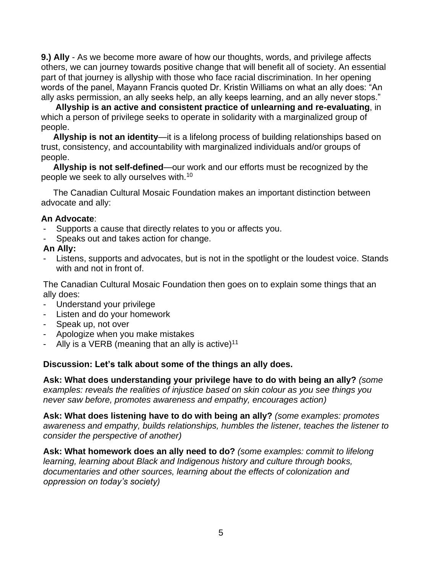**9.) Ally** - As we become more aware of how our thoughts, words, and privilege affects others, we can journey towards positive change that will benefit all of society. An essential part of that journey is allyship with those who face racial discrimination. In her opening words of the panel, Mayann Francis quoted Dr. Kristin Williams on what an ally does: "An ally asks permission, an ally seeks help, an ally keeps learning, and an ally never stops."

 **Allyship is an active and consistent practice of unlearning and re-evaluating**, in which a person of privilege seeks to operate in solidarity with a marginalized group of people.

 **Allyship is not an identity**—it is a lifelong process of building relationships based on trust, consistency, and accountability with marginalized individuals and/or groups of people.

 **Allyship is not self-defined**—our work and our efforts must be recognized by the people we seek to ally ourselves with.<sup>10</sup>

 The Canadian Cultural Mosaic Foundation makes an important distinction between advocate and ally:

#### **An Advocate**:

- Supports a cause that directly relates to you or affects you.
- Speaks out and takes action for change.

### **An Ally:**

Listens, supports and advocates, but is not in the spotlight or the loudest voice. Stands with and not in front of.

The Canadian Cultural Mosaic Foundation then goes on to explain some things that an ally does:

- Understand your privilege
- Listen and do your homework
- Speak up, not over
- Apologize when you make mistakes
- Ally is a VERB (meaning that an ally is active)<sup>11</sup>

## **Discussion: Let's talk about some of the things an ally does.**

**Ask: What does understanding your privilege have to do with being an ally?** *(some examples: reveals the realities of injustice based on skin colour as you see things you never saw before, promotes awareness and empathy, encourages action)*

**Ask: What does listening have to do with being an ally?** *(some examples: promotes awareness and empathy, builds relationships, humbles the listener, teaches the listener to consider the perspective of another)*

**Ask: What homework does an ally need to do?** *(some examples: commit to lifelong learning, learning about Black and Indigenous history and culture through books, documentaries and other sources, learning about the effects of colonization and oppression on today's society)*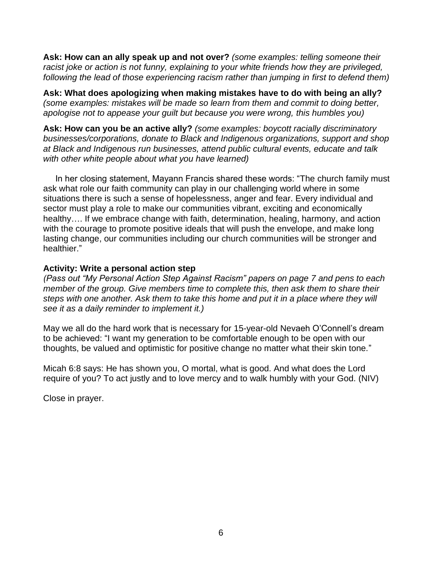**Ask: How can an ally speak up and not over?** *(some examples: telling someone their racist joke or action is not funny, explaining to your white friends how they are privileged, following the lead of those experiencing racism rather than jumping in first to defend them)*

**Ask: What does apologizing when making mistakes have to do with being an ally?** *(some examples: mistakes will be made so learn from them and commit to doing better, apologise not to appease your guilt but because you were wrong, this humbles you)*

**Ask: How can you be an active ally?** *(some examples: boycott racially discriminatory businesses/corporations, donate to Black and Indigenous organizations, support and shop at Black and Indigenous run businesses, attend public cultural events, educate and talk with other white people about what you have learned)* 

 In her closing statement, Mayann Francis shared these words: "The church family must ask what role our faith community can play in our challenging world where in some situations there is such a sense of hopelessness, anger and fear. Every individual and sector must play a role to make our communities vibrant, exciting and economically healthy…. If we embrace change with faith, determination, healing, harmony, and action with the courage to promote positive ideals that will push the envelope, and make long lasting change, our communities including our church communities will be stronger and healthier."

#### **Activity: Write a personal action step**

*(Pass out "My Personal Action Step Against Racism" papers on page 7 and pens to each member of the group. Give members time to complete this, then ask them to share their steps with one another. Ask them to take this home and put it in a place where they will see it as a daily reminder to implement it.)* 

May we all do the hard work that is necessary for 15-year-old Nevaeh O'Connell's dream to be achieved: "I want my generation to be comfortable enough to be open with our thoughts, be valued and optimistic for positive change no matter what their skin tone."

Micah 6:8 says: He has shown you, O mortal, what is good. And what does the Lord require of you? To act justly and to love mercy and to walk humbly with your God. (NIV)

Close in prayer.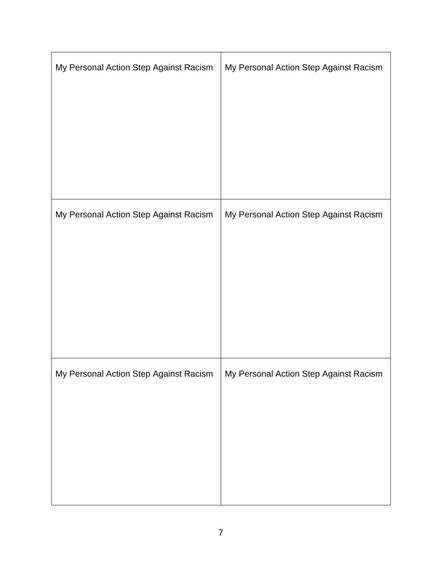| My Personal Action Step Against Racism | My Personal Action Step Against Racism |
|----------------------------------------|----------------------------------------|
|                                        |                                        |
| My Personal Action Step Against Racism | My Personal Action Step Against Racism |
| My Personal Action Step Against Racism | My Personal Action Step Against Racism |